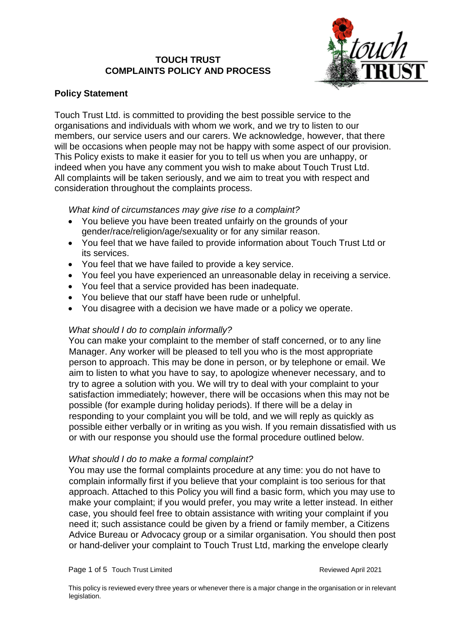# **TOUCH TRUST COMPLAINTS POLICY AND PROCESS**



# **Policy Statement**

Touch Trust Ltd. is committed to providing the best possible service to the organisations and individuals with whom we work, and we try to listen to our members, our service users and our carers. We acknowledge, however, that there will be occasions when people may not be happy with some aspect of our provision. This Policy exists to make it easier for you to tell us when you are unhappy, or indeed when you have any comment you wish to make about Touch Trust Ltd. All complaints will be taken seriously, and we aim to treat you with respect and consideration throughout the complaints process.

# *What kind of circumstances may give rise to a complaint?*

- You believe you have been treated unfairly on the grounds of your gender/race/religion/age/sexuality or for any similar reason.
- You feel that we have failed to provide information about Touch Trust Ltd or its services.
- You feel that we have failed to provide a key service.
- You feel you have experienced an unreasonable delay in receiving a service.
- You feel that a service provided has been inadequate.
- You believe that our staff have been rude or unhelpful.
- You disagree with a decision we have made or a policy we operate.

# *What should I do to complain informally?*

You can make your complaint to the member of staff concerned, or to any line Manager. Any worker will be pleased to tell you who is the most appropriate person to approach. This may be done in person, or by telephone or email. We aim to listen to what you have to say, to apologize whenever necessary, and to try to agree a solution with you. We will try to deal with your complaint to your satisfaction immediately; however, there will be occasions when this may not be possible (for example during holiday periods). If there will be a delay in responding to your complaint you will be told, and we will reply as quickly as possible either verbally or in writing as you wish. If you remain dissatisfied with us or with our response you should use the formal procedure outlined below.

# *What should I do to make a formal complaint?*

You may use the formal complaints procedure at any time: you do not have to complain informally first if you believe that your complaint is too serious for that approach. Attached to this Policy you will find a basic form, which you may use to make your complaint; if you would prefer, you may write a letter instead. In either case, you should feel free to obtain assistance with writing your complaint if you need it; such assistance could be given by a friend or family member, a Citizens Advice Bureau or Advocacy group or a similar organisation. You should then post or hand-deliver your complaint to Touch Trust Ltd, marking the envelope clearly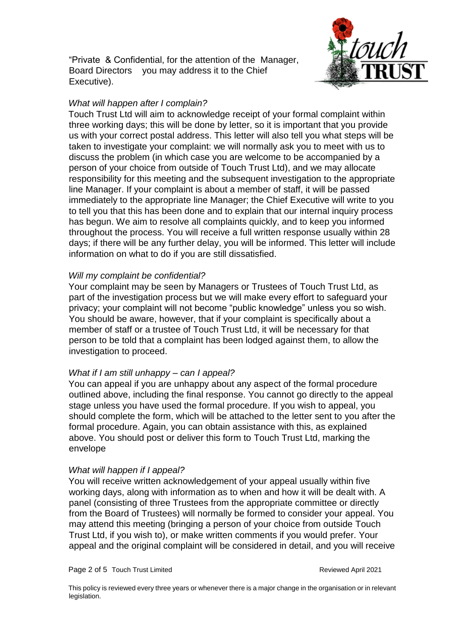"Private & Confidential, for the attention of the Manager, Board Directors you may address it to the Chief Executive).



## *What will happen after I complain?*

Touch Trust Ltd will aim to acknowledge receipt of your formal complaint within three working days; this will be done by letter, so it is important that you provide us with your correct postal address. This letter will also tell you what steps will be taken to investigate your complaint: we will normally ask you to meet with us to discuss the problem (in which case you are welcome to be accompanied by a person of your choice from outside of Touch Trust Ltd), and we may allocate responsibility for this meeting and the subsequent investigation to the appropriate line Manager. If your complaint is about a member of staff, it will be passed immediately to the appropriate line Manager; the Chief Executive will write to you to tell you that this has been done and to explain that our internal inquiry process has begun. We aim to resolve all complaints quickly, and to keep you informed throughout the process. You will receive a full written response usually within 28 days; if there will be any further delay, you will be informed. This letter will include information on what to do if you are still dissatisfied.

## *Will my complaint be confidential?*

Your complaint may be seen by Managers or Trustees of Touch Trust Ltd, as part of the investigation process but we will make every effort to safeguard your privacy; your complaint will not become "public knowledge" unless you so wish. You should be aware, however, that if your complaint is specifically about a member of staff or a trustee of Touch Trust Ltd, it will be necessary for that person to be told that a complaint has been lodged against them, to allow the investigation to proceed.

### *What if I am still unhappy – can I appeal?*

You can appeal if you are unhappy about any aspect of the formal procedure outlined above, including the final response. You cannot go directly to the appeal stage unless you have used the formal procedure. If you wish to appeal, you should complete the form, which will be attached to the letter sent to you after the formal procedure. Again, you can obtain assistance with this, as explained above. You should post or deliver this form to Touch Trust Ltd, marking the envelope

### *What will happen if I appeal?*

You will receive written acknowledgement of your appeal usually within five working days, along with information as to when and how it will be dealt with. A panel (consisting of three Trustees from the appropriate committee or directly from the Board of Trustees) will normally be formed to consider your appeal. You may attend this meeting (bringing a person of your choice from outside Touch Trust Ltd, if you wish to), or make written comments if you would prefer. Your appeal and the original complaint will be considered in detail, and you will receive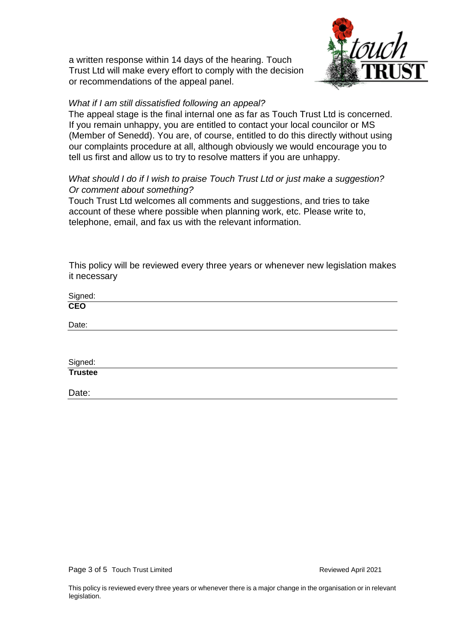a written response within 14 days of the hearing. Touch Trust Ltd will make every effort to comply with the decision or recommendations of the appeal panel.



### *What if I am still dissatisfied following an appeal?*

The appeal stage is the final internal one as far as Touch Trust Ltd is concerned. If you remain unhappy, you are entitled to contact your local councilor or MS (Member of Senedd). You are, of course, entitled to do this directly without using our complaints procedure at all, although obviously we would encourage you to tell us first and allow us to try to resolve matters if you are unhappy.

## *What should I do if I wish to praise Touch Trust Ltd or just make a suggestion? Or comment about something?*

Touch Trust Ltd welcomes all comments and suggestions, and tries to take account of these where possible when planning work, etc. Please write to, telephone, email, and fax us with the relevant information.

This policy will be reviewed every three years or whenever new legislation makes it necessary

Signed: **CEO**

Signed: **Trustee**

Date:

Date:

Page 3 of 5 Touch Trust Limited **Reviewed April 2021**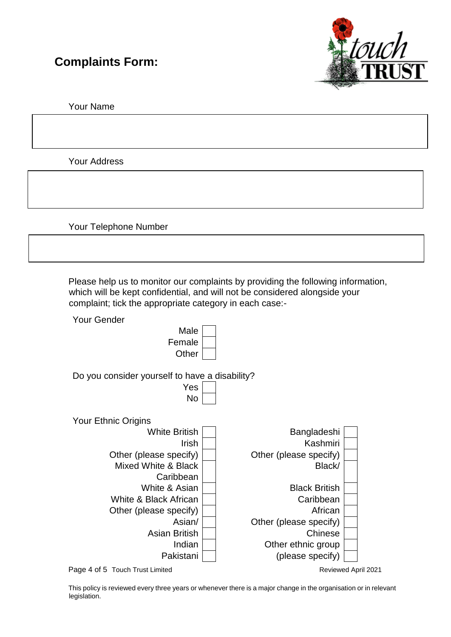# **Complaints Form:**



Your Name

Your Address

Your Telephone Number

Please help us to monitor our complaints by providing the following information, which will be kept confidential, and will not be considered alongside your complaint; tick the appropriate category in each case:-



Page 4 of 5 Touch Trust Limited **Reviewed April 2021** Reviewed April 2021